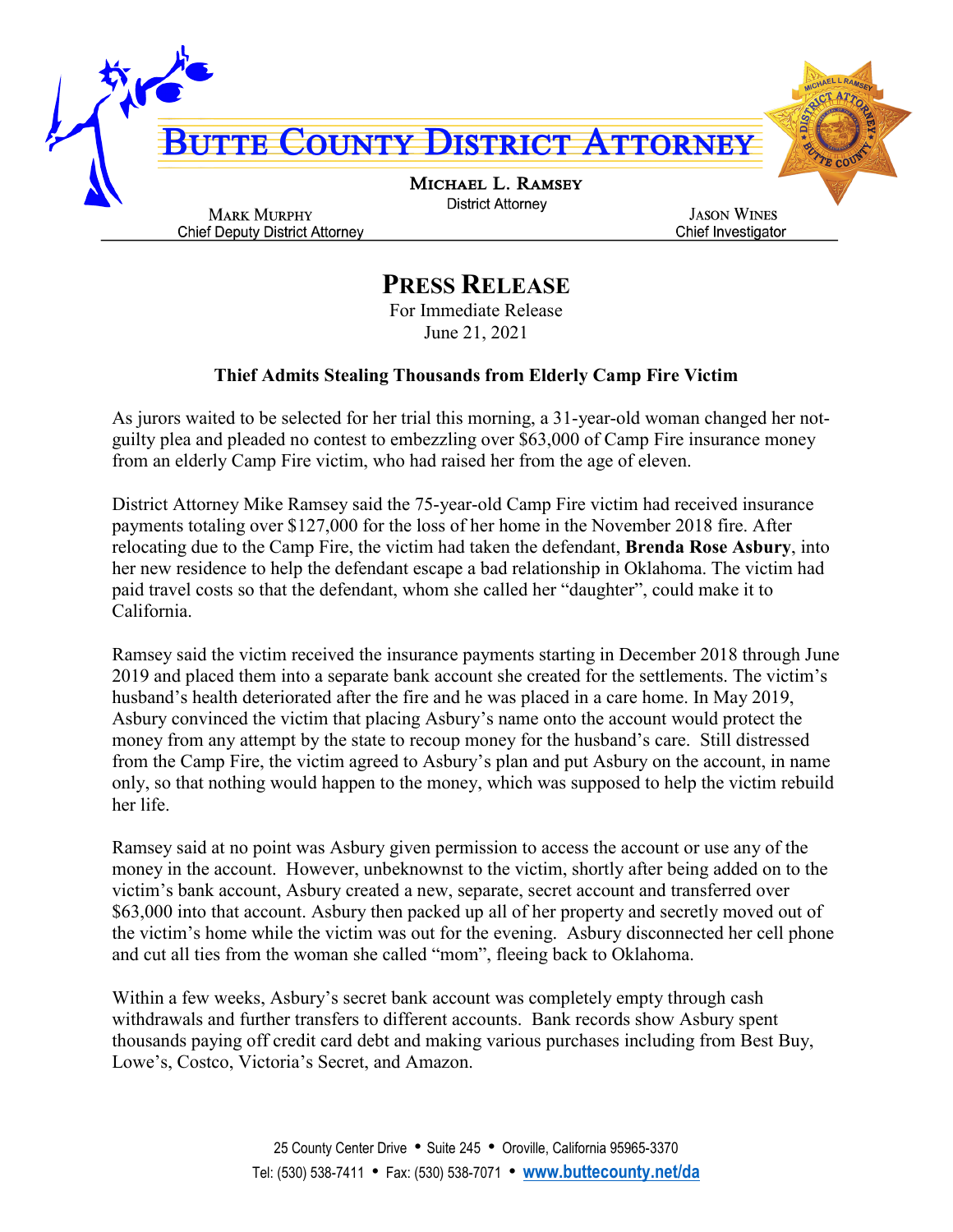

## **PRESS RELEASE**

For Immediate Release June 21, 2021

## **Thief Admits Stealing Thousands from Elderly Camp Fire Victim**

As jurors waited to be selected for her trial this morning, a 31-year-old woman changed her notguilty plea and pleaded no contest to embezzling over \$63,000 of Camp Fire insurance money from an elderly Camp Fire victim, who had raised her from the age of eleven.

District Attorney Mike Ramsey said the 75-year-old Camp Fire victim had received insurance payments totaling over \$127,000 for the loss of her home in the November 2018 fire. After relocating due to the Camp Fire, the victim had taken the defendant, **Brenda Rose Asbury**, into her new residence to help the defendant escape a bad relationship in Oklahoma. The victim had paid travel costs so that the defendant, whom she called her "daughter", could make it to California.

Ramsey said the victim received the insurance payments starting in December 2018 through June 2019 and placed them into a separate bank account she created for the settlements. The victim's husband's health deteriorated after the fire and he was placed in a care home. In May 2019, Asbury convinced the victim that placing Asbury's name onto the account would protect the money from any attempt by the state to recoup money for the husband's care. Still distressed from the Camp Fire, the victim agreed to Asbury's plan and put Asbury on the account, in name only, so that nothing would happen to the money, which was supposed to help the victim rebuild her life.

Ramsey said at no point was Asbury given permission to access the account or use any of the money in the account. However, unbeknownst to the victim, shortly after being added on to the victim's bank account, Asbury created a new, separate, secret account and transferred over \$63,000 into that account. Asbury then packed up all of her property and secretly moved out of the victim's home while the victim was out for the evening. Asbury disconnected her cell phone and cut all ties from the woman she called "mom", fleeing back to Oklahoma.

Within a few weeks, Asbury's secret bank account was completely empty through cash withdrawals and further transfers to different accounts. Bank records show Asbury spent thousands paying off credit card debt and making various purchases including from Best Buy, Lowe's, Costco, Victoria's Secret, and Amazon.